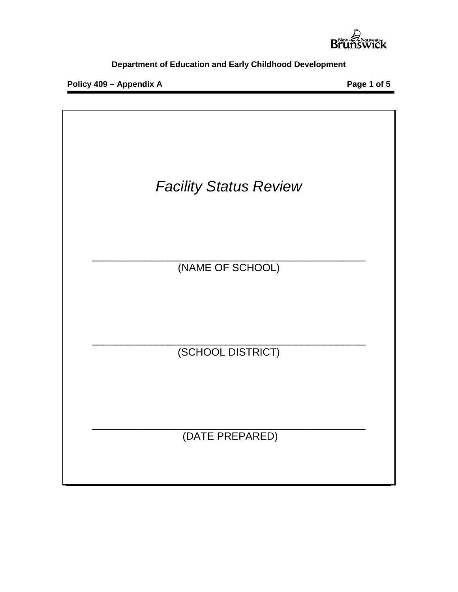

**Policy 409 – Appendix A Page 1 of 5**

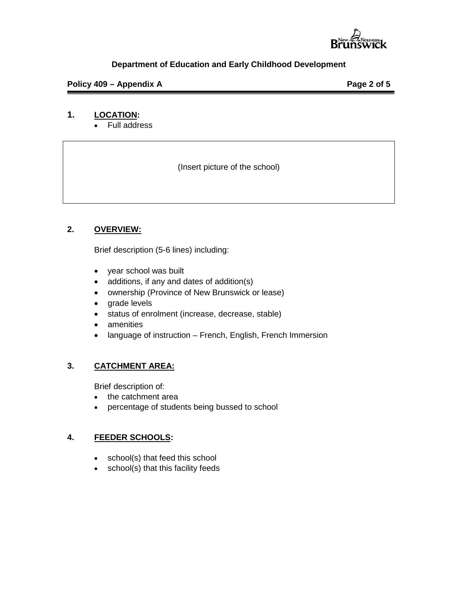

# **Policy 409 – Appendix A Page 2 of 5**

# **1. LOCATION:**

• Full address

(Insert picture of the school)

### **2. OVERVIEW:**

Brief description (5-6 lines) including:

- year school was built
- additions, if any and dates of addition(s)
- ownership (Province of New Brunswick or lease)
- grade levels
- status of enrolment (increase, decrease, stable)
- amenities
- language of instruction French, English, French Immersion

# **3. CATCHMENT AREA:**

Brief description of:

- the catchment area
- percentage of students being bussed to school

### **4. FEEDER SCHOOLS:**

- school(s) that feed this school
- school(s) that this facility feeds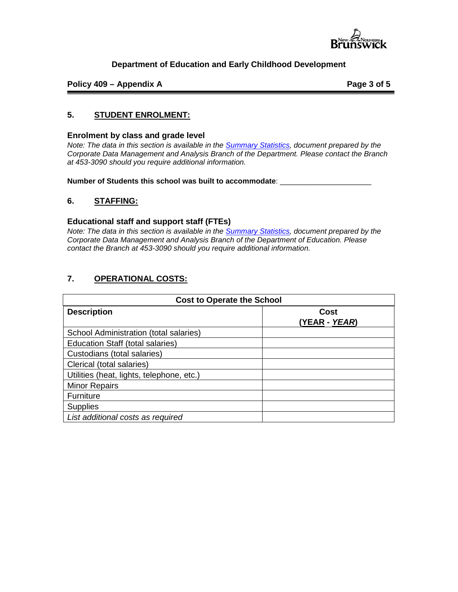

**Policy 409 – Appendix A Page 3 of 5**

### **5. STUDENT ENROLMENT:**

#### **Enrolment by class and grade level**

*Note: The data in this section is available in the [Summary Statistics,](http://www2.gnb.ca/content/gnb/en/departments/education/publications.html) document prepared by the Corporate Data Management and Analysis Branch of the Department. Please contact the Branch at 453-3090 should you require additional information.* 

**Number of Students this school was built to accommodate**: \_\_\_\_\_\_\_\_\_\_\_\_\_\_\_\_\_\_\_\_\_\_

#### **6. STAFFING:**

#### **Educational staff and support staff (FTEs)**

*Note: The data in this section is available in the [Summary Statistics,](http://www2.gnb.ca/content/gnb/en/departments/education/publications.html) document prepared by the Corporate Data Management and Analysis Branch of the Department of Education. Please contact the Branch at 453-3090 should you require additional information.* 

#### **7. OPERATIONAL COSTS:**

| <b>Cost to Operate the School</b>         |                               |  |  |
|-------------------------------------------|-------------------------------|--|--|
| <b>Description</b>                        | Cost<br>(YEAR <i>- YEAR</i> ) |  |  |
| School Administration (total salaries)    |                               |  |  |
| <b>Education Staff (total salaries)</b>   |                               |  |  |
| Custodians (total salaries)               |                               |  |  |
| Clerical (total salaries)                 |                               |  |  |
| Utilities (heat, lights, telephone, etc.) |                               |  |  |
| <b>Minor Repairs</b>                      |                               |  |  |
| <b>Furniture</b>                          |                               |  |  |
| <b>Supplies</b>                           |                               |  |  |
| List additional costs as required         |                               |  |  |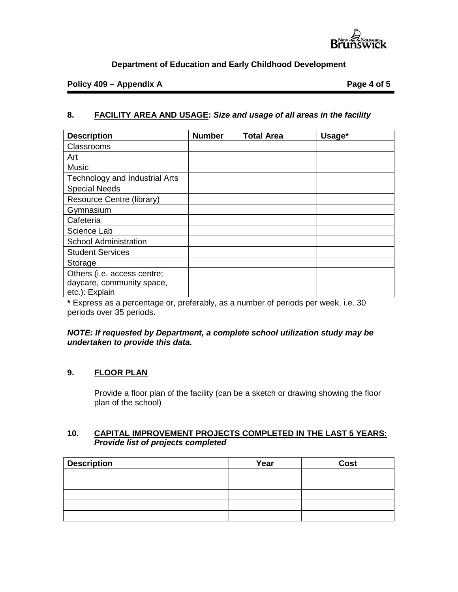

### **Policy 409 – Appendix A Page 4 of 5**

# **8. FACILITY AREA AND USAGE:** *Size and usage of all areas in the facility*

| <b>Description</b>                    | <b>Number</b> | <b>Total Area</b> | Usage* |
|---------------------------------------|---------------|-------------------|--------|
| <b>Classrooms</b>                     |               |                   |        |
| Art                                   |               |                   |        |
| <b>Music</b>                          |               |                   |        |
| <b>Technology and Industrial Arts</b> |               |                   |        |
| <b>Special Needs</b>                  |               |                   |        |
| Resource Centre (library)             |               |                   |        |
| Gymnasium                             |               |                   |        |
| Cafeteria                             |               |                   |        |
| Science Lab                           |               |                   |        |
| <b>School Administration</b>          |               |                   |        |
| <b>Student Services</b>               |               |                   |        |
| Storage                               |               |                   |        |
| Others (i.e. access centre;           |               |                   |        |
| daycare, community space,             |               |                   |        |
| etc.): Explain                        |               |                   |        |

**\*** Express as a percentage or, preferably, as a number of periods per week, i.e. 30 periods over 35 periods.

#### *NOTE: If requested by Department, a complete school utilization study may be undertaken to provide this data.*

# **9. FLOOR PLAN**

Provide a floor plan of the facility (can be a sketch or drawing showing the floor plan of the school)

### **10. CAPITAL IMPROVEMENT PROJECTS COMPLETED IN THE LAST 5 YEARS:** *Provide list of projects completed*

| <b>Description</b> | Year | <b>Cost</b> |
|--------------------|------|-------------|
|                    |      |             |
|                    |      |             |
|                    |      |             |
|                    |      |             |
|                    |      |             |